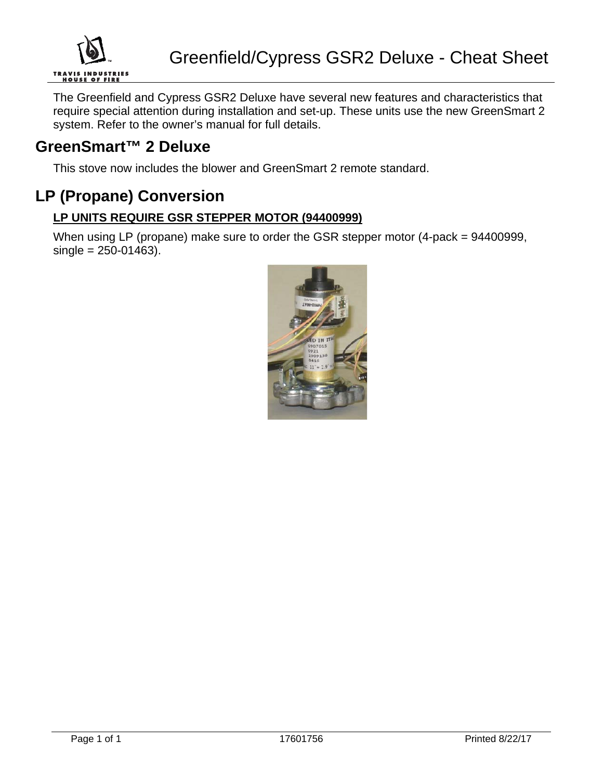

The Greenfield and Cypress GSR2 Deluxe have several new features and characteristics that require special attention during installation and set-up. These units use the new GreenSmart 2 system. Refer to the owner's manual for full details.

### **GreenSmart™ 2 Deluxe**

This stove now includes the blower and GreenSmart 2 remote standard.

### **LP (Propane) Conversion**

#### **LP UNITS REQUIRE GSR STEPPER MOTOR (94400999)**

When using LP (propane) make sure to order the GSR stepper motor (4-pack = 94400999,  $single = 250 - 01463$ ).